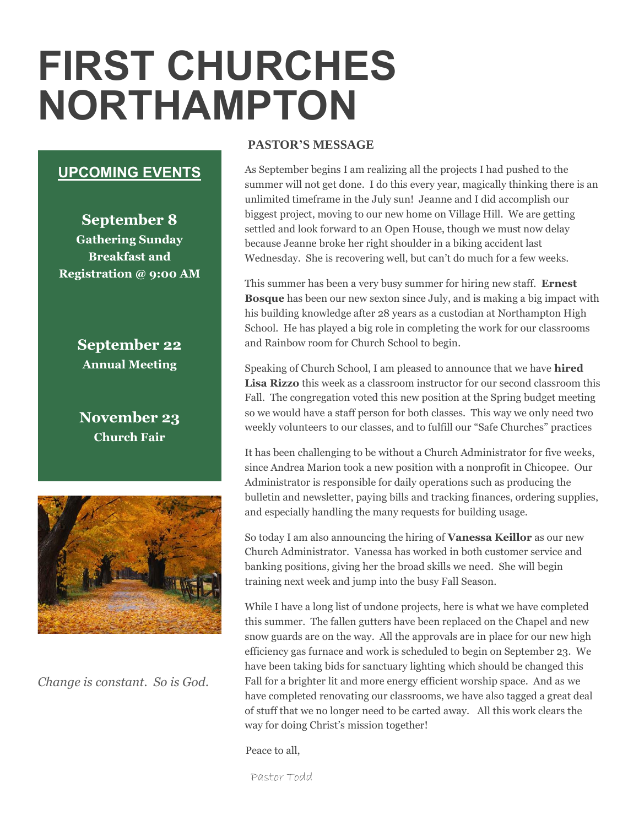# **FIRST CHURCHES NORTHAMPTON**

#### **UPCOMING EVENTS**

**September 8 Gathering Sunday Breakfast and Registration @ 9:00 AM**

> **September 22 Annual Meeting**

**November 23 Church Fair**



*Change is constant. So is God.*

#### **PASTOR'S MESSAGE**

As September begins I am realizing all the projects I had pushed to the summer will not get done. I do this every year, magically thinking there is an unlimited timeframe in the July sun! Jeanne and I did accomplish our biggest project, moving to our new home on Village Hill. We are getting settled and look forward to an Open House, though we must now delay because Jeanne broke her right shoulder in a biking accident last Wednesday. She is recovering well, but can't do much for a few weeks.

This summer has been a very busy summer for hiring new staff. **Ernest Bosque** has been our new sexton since July, and is making a big impact with his building knowledge after 28 years as a custodian at Northampton High School. He has played a big role in completing the work for our classrooms and Rainbow room for Church School to begin.

Speaking of Church School, I am pleased to announce that we have **hired Lisa Rizzo** this week as a classroom instructor for our second classroom this Fall. The congregation voted this new position at the Spring budget meeting so we would have a staff person for both classes. This way we only need two weekly volunteers to our classes, and to fulfill our "Safe Churches" practices

It has been challenging to be without a Church Administrator for five weeks, since Andrea Marion took a new position with a nonprofit in Chicopee. Our Administrator is responsible for daily operations such as producing the bulletin and newsletter, paying bills and tracking finances, ordering supplies, and especially handling the many requests for building usage.

So today I am also announcing the hiring of **Vanessa Keillor** as our new Church Administrator. Vanessa has worked in both customer service and banking positions, giving her the broad skills we need. She will begin training next week and jump into the busy Fall Season.

While I have a long list of undone projects, here is what we have completed this summer. The fallen gutters have been replaced on the Chapel and new snow guards are on the way. All the approvals are in place for our new high efficiency gas furnace and work is scheduled to begin on September 23. We have been taking bids for sanctuary lighting which should be changed this Fall for a brighter lit and more energy efficient worship space. And as we have completed renovating our classrooms, we have also tagged a great deal of stuff that we no longer need to be carted away. All this work clears the way for doing Christ's mission together!

Peace to all,

Pastor Todd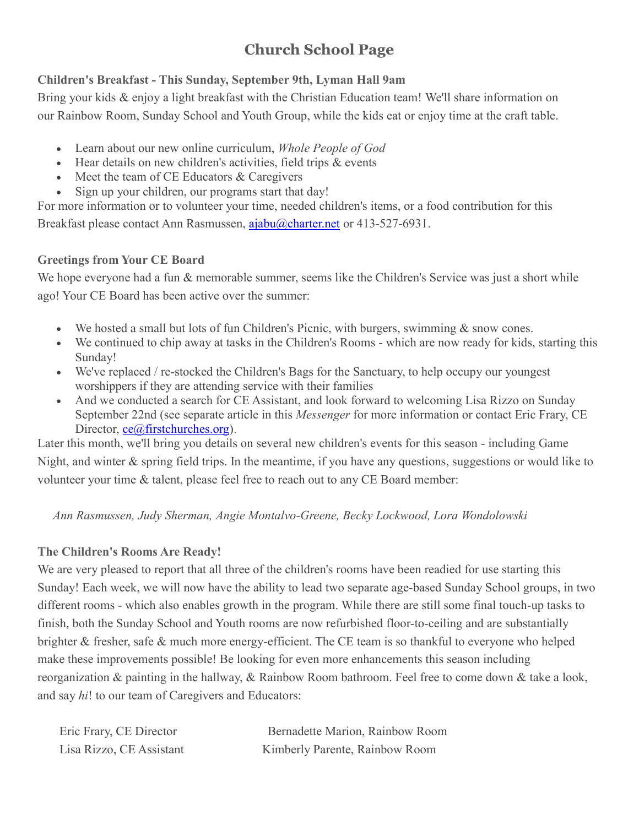## **Church School Page**

#### **Children's Breakfast - This Sunday, September 9th, Lyman Hall 9am**

Bring your kids & enjoy a light breakfast with the Christian Education team! We'll share information on our Rainbow Room, Sunday School and Youth Group, while the kids eat or enjoy time at the craft table.

- Learn about our new online curriculum, *Whole People of God*
- Hear details on new children's activities, field trips & events
- Meet the team of CE Educators & Caregivers
- Sign up your children, our programs start that day!

For more information or to volunteer your time, needed children's items, or a food contribution for this Breakfast please contact Ann Rasmussen, [ajabu@charter.net](mailto:ajabu@charter.net) or 413-527-6931.

#### **Greetings from Your CE Board**

We hope everyone had a fun & memorable summer, seems like the Children's Service was just a short while ago! Your CE Board has been active over the summer:

- We hosted a small but lots of fun Children's Picnic, with burgers, swimming & snow cones.
- We continued to chip away at tasks in the Children's Rooms which are now ready for kids, starting this Sunday!
- We've replaced / re-stocked the Children's Bags for the Sanctuary, to help occupy our youngest worshippers if they are attending service with their families
- And we conducted a search for CE Assistant, and look forward to welcoming Lisa Rizzo on Sunday September 22nd (see separate article in this *Messenger* for more information or contact Eric Frary, CE Director, [ce@firstchurches.org\)](mailto:ce@firstchurches.org).

Later this month, we'll bring you details on several new children's events for this season - including Game Night, and winter & spring field trips. In the meantime, if you have any questions, suggestions or would like to volunteer your time & talent, please feel free to reach out to any CE Board member:

*Ann Rasmussen, Judy Sherman, Angie Montalvo-Greene, Becky Lockwood, Lora Wondolowski*

#### **The Children's Rooms Are Ready!**

We are very pleased to report that all three of the children's rooms have been readied for use starting this Sunday! Each week, we will now have the ability to lead two separate age-based Sunday School groups, in two different rooms - which also enables growth in the program. While there are still some final touch-up tasks to finish, both the Sunday School and Youth rooms are now refurbished floor-to-ceiling and are substantially brighter & fresher, safe & much more energy-efficient. The CE team is so thankful to everyone who helped make these improvements possible! Be looking for even more enhancements this season including reorganization & painting in the hallway, & Rainbow Room bathroom. Feel free to come down & take a look, and say *hi*! to our team of Caregivers and Educators:

| Eric Frary, CE Director  | Bernadette Marion, Rainbow Room |
|--------------------------|---------------------------------|
| Lisa Rizzo, CE Assistant | Kimberly Parente, Rainbow Room  |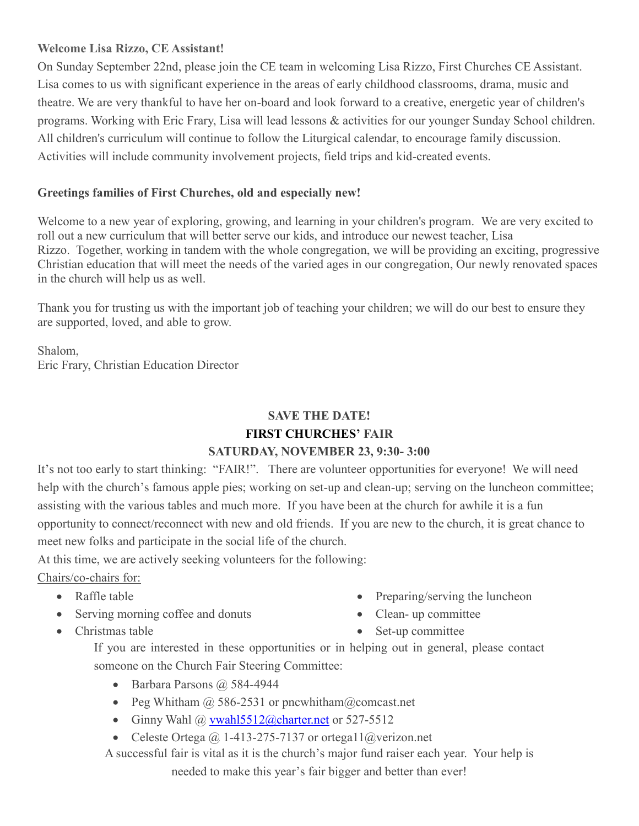#### **Welcome Lisa Rizzo, CE Assistant!**

On Sunday September 22nd, please join the CE team in welcoming Lisa Rizzo, First Churches CE Assistant. Lisa comes to us with significant experience in the areas of early childhood classrooms, drama, music and theatre. We are very thankful to have her on-board and look forward to a creative, energetic year of children's programs. Working with Eric Frary, Lisa will lead lessons & activities for our younger Sunday School children. All children's curriculum will continue to follow the Liturgical calendar, to encourage family discussion. Activities will include community involvement projects, field trips and kid-created events.

#### **Greetings families of First Churches, old and especially new!**

Welcome to a new year of exploring, growing, and learning in your children's program. We are very excited to roll out a new curriculum that will better serve our kids, and introduce our newest teacher, Lisa Rizzo. Together, working in tandem with the whole congregation, we will be providing an exciting, progressive Christian education that will meet the needs of the varied ages in our congregation, Our newly renovated spaces in the church will help us as well.

Thank you for trusting us with the important job of teaching your children; we will do our best to ensure they are supported, loved, and able to grow.

Shalom, Eric Frary, Christian Education Director

#### **SAVE THE DATE! FIRST CHURCHES' FAIR SATURDAY, NOVEMBER 23, 9:30- 3:00**

It's not too early to start thinking: "FAIR!". There are volunteer opportunities for everyone! We will need help with the church's famous apple pies; working on set-up and clean-up; serving on the luncheon committee; assisting with the various tables and much more. If you have been at the church for awhile it is a fun opportunity to connect/reconnect with new and old friends. If you are new to the church, it is great chance to meet new folks and participate in the social life of the church.

At this time, we are actively seeking volunteers for the following:

Chairs/co-chairs for:

- Raffle table
- Serving morning coffee and donuts
- Christmas table
- Preparing/serving the luncheon
- Clean- up committee
- Set-up committee

If you are interested in these opportunities or in helping out in general, please contact someone on the Church Fair Steering Committee:

- Barbara Parsons @ 584-4944
- Peg Whitham  $\omega$  586-2531 or pncwhitham $\omega$ comcast.net
- Ginny Wahl  $\omega$  vwahl5512 $\omega$ charter.net or 527-5512
- Celeste Ortega @ 1-413-275-7137 or ortegal  $1$  @ verizon.net

A successful fair is vital as it is the church's major fund raiser each year. Your help is needed to make this year's fair bigger and better than ever!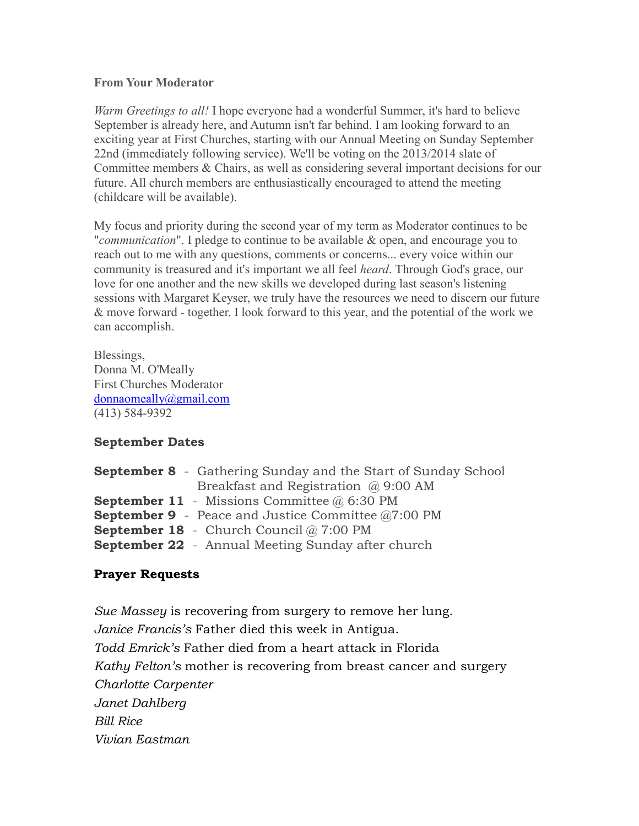#### **From Your Moderator**

*Warm Greetings to all!* I hope everyone had a wonderful Summer, it's hard to believe September is already here, and Autumn isn't far behind. I am looking forward to an exciting year at First Churches, starting with our Annual Meeting on Sunday September 22nd (immediately following service). We'll be voting on the 2013/2014 slate of Committee members & Chairs, as well as considering several important decisions for our future. All church members are enthusiastically encouraged to attend the meeting (childcare will be available).

My focus and priority during the second year of my term as Moderator continues to be "*communication*". I pledge to continue to be available & open, and encourage you to reach out to me with any questions, comments or concerns... every voice within our community is treasured and it's important we all feel *heard*. Through God's grace, our love for one another and the new skills we developed during last season's listening sessions with Margaret Keyser, we truly have the resources we need to discern our future & move forward - together. I look forward to this year, and the potential of the work we can accomplish.

Blessings, Donna M. O'Meally First Churches Moderator [donnaomeally@gmail.com](mailto:donnaomeally@gmail.com) (413) 584-9392

#### **September Dates**

| <b>September 8</b> - Gathering Sunday and the Start of Sunday School |
|----------------------------------------------------------------------|
| Breakfast and Registration $\omega$ 9:00 AM                          |
| <b>September 11</b> - Missions Committee $\omega$ 6:30 PM            |
| <b>September 9</b> - Peace and Justice Committee $@7:00$ PM          |
| <b>September 18</b> - Church Council $@ 7:00$ PM                     |
| <b>September 22</b> - Annual Meeting Sunday after church             |
|                                                                      |

#### **Prayer Requests**

*Sue Massey* is recovering from surgery to remove her lung. *Janice Francis's* Father died this week in Antigua. *Todd Emrick's* Father died from a heart attack in Florida *Kathy Felton's* mother is recovering from breast cancer and surgery *Charlotte Carpenter Janet Dahlberg Bill Rice Vivian Eastman*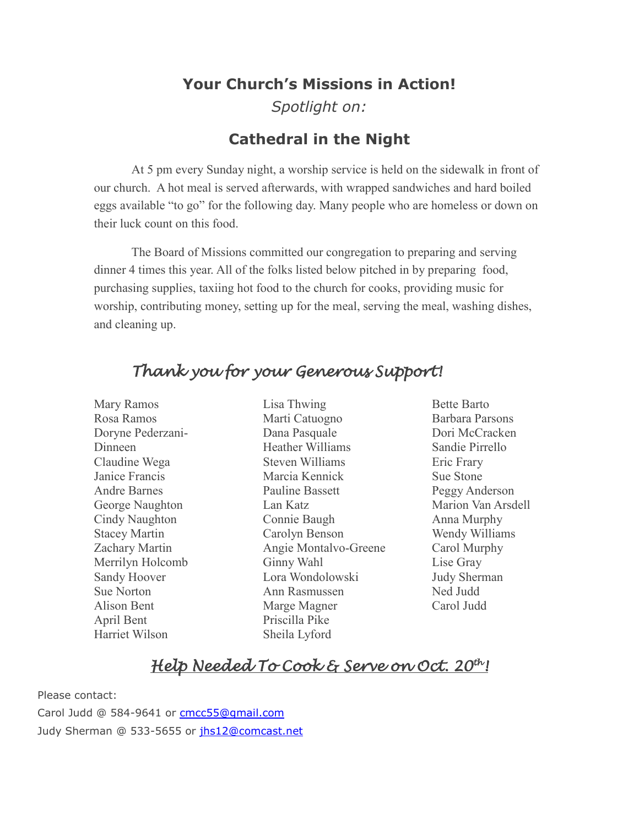# **Your Church's Missions in Action!** *Spotlight on:*

## **Cathedral in the Night**

At 5 pm every Sunday night, a worship service is held on the sidewalk in front of our church. A hot meal is served afterwards, with wrapped sandwiches and hard boiled eggs available "to go" for the following day. Many people who are homeless or down on their luck count on this food.

The Board of Missions committed our congregation to preparing and serving dinner 4 times this year. All of the folks listed below pitched in by preparing food, purchasing supplies, taxiing hot food to the church for cooks, providing music for worship, contributing money, setting up for the meal, serving the meal, washing dishes, and cleaning up.

## *Thank you for your Generous Support!*

Mary Ramos Rosa Ramos Doryne Pederzani-Dinneen Claudine Wega Janice Francis Andre Barnes George Naughton Cindy Naughton Stacey Martin Zachary Martin Merrilyn Holcomb Sandy Hoover Sue Norton Alison Bent April Bent Harriet Wilson

Lisa Thwing Marti Catuogno Dana Pasquale Heather Williams Steven Williams Marcia Kennick Pauline Bassett Lan Katz Connie Baugh Carolyn Benson Angie Montalvo-Greene Ginny Wahl Lora Wondolowski Ann Rasmussen Marge Magner Priscilla Pike Sheila Lyford

Bette Barto Barbara Parsons Dori McCracken Sandie Pirrello Eric Frary Sue Stone Peggy Anderson Marion Van Arsdell Anna Murphy Wendy Williams Carol Murphy Lise Gray Judy Sherman Ned Judd Carol Judd

## *Help Needed To Cook & Serve on Oct. 20th!*

Please contact: Carol Judd @ 584-9641 or [cmcc55@gmail.com](mailto:cmcc55@gmail.com) Judy Sherman @ 533-5655 or [jhs12@comcast.net](mailto:jhs12@comcast.net)